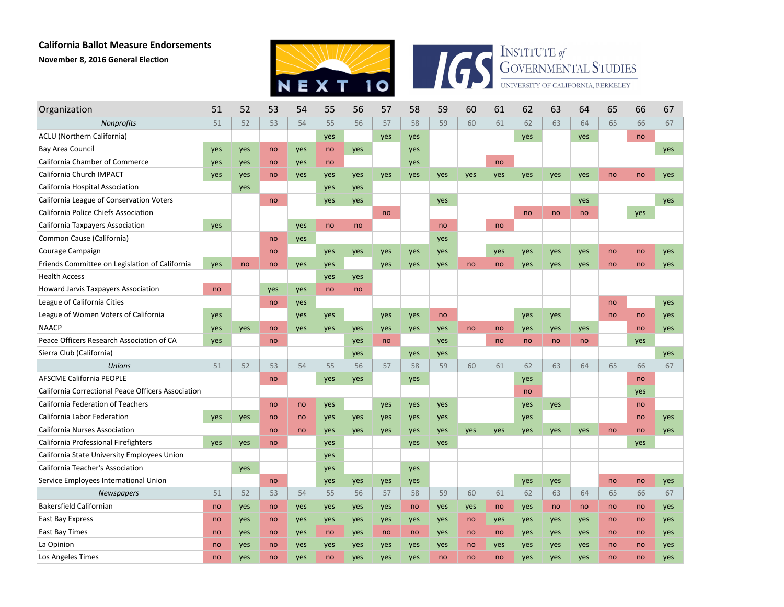## **California Ballot Measure Endorsements November 8, 2016 General Election**





| Organization                                       | 51  | 52  | 53  | 54  | 55  | 56  | 57  | 58  | 59  | 60  | 61  | 62  | 63  | 64  | 65 | 66  | 67         |
|----------------------------------------------------|-----|-----|-----|-----|-----|-----|-----|-----|-----|-----|-----|-----|-----|-----|----|-----|------------|
| Nonprofits                                         | 51  | 52  | 53  | 54  | 55  | 56  | 57  | 58  | 59  | 60  | 61  | 62  | 63  | 64  | 65 | 66  | 67         |
| ACLU (Northern California)                         |     |     |     |     | yes |     | yes | yes |     |     |     | yes |     | yes |    | no  |            |
| Bay Area Council                                   | yes | yes | no  | yes | no  | yes |     | yes |     |     |     |     |     |     |    |     | yes        |
| California Chamber of Commerce                     | yes | yes | no  | yes | no  |     |     | yes |     |     | no  |     |     |     |    |     |            |
| California Church IMPACT                           | yes | yes | no  | yes | yes | yes | yes | yes | yes | yes | yes | yes | yes | yes | no | no  | yes        |
| California Hospital Association                    |     | yes |     |     | yes | yes |     |     |     |     |     |     |     |     |    |     |            |
| California League of Conservation Voters           |     |     | no  |     | yes | yes |     |     | yes |     |     |     |     | yes |    |     | yes        |
| California Police Chiefs Association               |     |     |     |     |     |     | no  |     |     |     |     | no  | no  | no  |    | yes |            |
| California Taxpayers Association                   | yes |     |     | yes | no  | no  |     |     | no  |     | no  |     |     |     |    |     |            |
| Common Cause (California)                          |     |     | no  | yes |     |     |     |     | yes |     |     |     |     |     |    |     |            |
| Courage Campaign                                   |     |     | no  |     | yes | yes | yes | yes | yes |     | yes | yes | yes | yes | no | no  | yes        |
| Friends Committee on Legislation of California     | yes | no  | no  | yes | yes |     | yes | yes | yes | no  | no  | yes | yes | yes | no | no  | <b>ves</b> |
| <b>Health Access</b>                               |     |     |     |     | yes | yes |     |     |     |     |     |     |     |     |    |     |            |
| <b>Howard Jarvis Taxpayers Association</b>         | no  |     | yes | yes | no  | no  |     |     |     |     |     |     |     |     |    |     |            |
| League of California Cities                        |     |     | no  | yes |     |     |     |     |     |     |     |     |     |     | no |     | yes        |
| League of Women Voters of California               | yes |     |     | yes | yes |     | yes | yes | no  |     |     | yes | yes |     | no | no  | yes        |
| <b>NAACP</b>                                       | yes | yes | no  | yes | yes | yes | yes | yes | yes | no  | no  | yes | yes | yes |    | no  | yes        |
| Peace Officers Research Association of CA          | yes |     | no  |     |     | yes | no  |     | yes |     | no  | no  | no  | no  |    | yes |            |
| Sierra Club (California)                           |     |     |     |     |     | yes |     | yes | yes |     |     |     |     |     |    |     | yes        |
| <b>Unions</b>                                      | 51  | 52  | 53  | 54  | 55  | 56  | 57  | 58  | 59  | 60  | 61  | 62  | 63  | 64  | 65 | 66  | 67         |
| <b>AFSCME California PEOPLE</b>                    |     |     | no  |     | yes | yes |     | yes |     |     |     | yes |     |     |    | no  |            |
| California Correctional Peace Officers Association |     |     |     |     |     |     |     |     |     |     |     | no  |     |     |    | yes |            |
| California Federation of Teachers                  |     |     | no  | no  | yes |     | yes | yes | yes |     |     | yes | yes |     |    | no  |            |
| California Labor Federation                        | yes | yes | no  | no  | yes | yes | yes | yes | yes |     |     | yes |     |     |    | no  | yes        |
| California Nurses Association                      |     |     | no  | no  | yes | yes | yes | yes | yes | yes | yes | yes | yes | yes | no | no  | yes        |
| California Professional Firefighters               | yes | yes | no  |     | yes |     |     | yes | yes |     |     |     |     |     |    | yes |            |
| California State University Employees Union        |     |     |     |     | yes |     |     |     |     |     |     |     |     |     |    |     |            |
| California Teacher's Association                   |     | yes |     |     | yes |     |     | yes |     |     |     |     |     |     |    |     |            |
| Service Employees International Union              |     |     | no  |     | yes | yes | yes | yes |     |     |     | yes | yes |     | no | no  | yes        |
| <b>Newspapers</b>                                  | 51  | 52  | 53  | 54  | 55  | 56  | 57  | 58  | 59  | 60  | 61  | 62  | 63  | 64  | 65 | 66  | 67         |
| <b>Bakersfield Californian</b>                     | no  | yes | no  | yes | yes | yes | yes | no  | yes | yes | no  | yes | no  | no  | no | no  | yes        |
| East Bay Express                                   | no  | yes | no  | yes | yes | yes | yes | yes | yes | no  | yes | yes | yes | yes | no | no  | yes        |
| East Bay Times                                     | no  | yes | no  | yes | no  | yes | no  | no  | yes | no  | no  | yes | yes | yes | no | no  | yes        |
| La Opinion                                         | no  | yes | no  | yes | yes | yes | yes | yes | yes | no  | yes | yes | yes | yes | no | no  | yes        |
| Los Angeles Times                                  | no  | ves | no  | yes | no  | ves | yes | ves | no  | no  | no  | ves | ves | ves | no | no  | ves        |